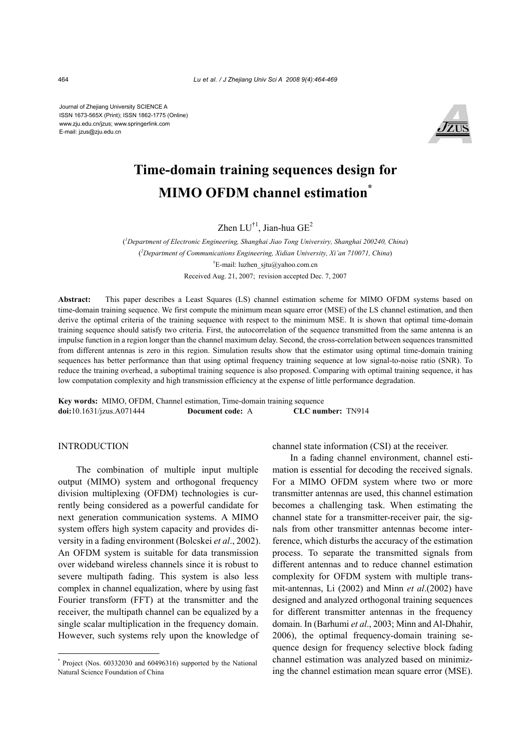Journal of Zhejiang University SCIENCE A ISSN 1673-565X (Print); ISSN 1862-1775 (Online) www.zju.edu.cn/jzus; www.springerlink.com E-mail: jzus@zju.edu.cn



# **Time-domain training sequences design for MIMO OFDM channel estimation\***

Zhen  $LU^{\dagger 1}$ , Jian-hua  $GE^2$ 

( *1 Department of Electronic Engineering, Shanghai Jiao Tong Universiry, Shanghai 200240, China*) ( *2 Department of Communications Engineering, Xidian University, Xi'an 710071, China*) † E-mail: luzhen\_sjtu@yahoo.com.cn Received Aug. 21, 2007; revision accepted Dec. 7, 2007

**Abstract:** This paper describes a Least Squares (LS) channel estimation scheme for MIMO OFDM systems based on time-domain training sequence. We first compute the minimum mean square error (MSE) of the LS channel estimation, and then derive the optimal criteria of the training sequence with respect to the minimum MSE. It is shown that optimal time-domain training sequence should satisfy two criteria. First, the autocorrelation of the sequence transmitted from the same antenna is an impulse function in a region longer than the channel maximum delay. Second, the cross-correlation between sequences transmitted from different antennas is zero in this region. Simulation results show that the estimator using optimal time-domain training sequences has better performance than that using optimal frequency training sequence at low signal-to-noise ratio (SNR). To reduce the training overhead, a suboptimal training sequence is also proposed. Comparing with optimal training sequence, it has low computation complexity and high transmission efficiency at the expense of little performance degradation.

**Key words:** MIMO, OFDM, Channel estimation, Time-domain training sequence **doi:**10.1631/jzus.A071444 **Document code:** A **CLC number:** TN914

## **INTRODUCTION**

The combination of multiple input multiple output (MIMO) system and orthogonal frequency division multiplexing (OFDM) technologies is currently being considered as a powerful candidate for next generation communication systems. A MIMO system offers high system capacity and provides diversity in a fading environment (Bolcskei *et al*., 2002). An OFDM system is suitable for data transmission over wideband wireless channels since it is robust to severe multipath fading. This system is also less complex in channel equalization, where by using fast Fourier transform (FFT) at the transmitter and the receiver, the multipath channel can be equalized by a single scalar multiplication in the frequency domain. However, such systems rely upon the knowledge of

channel state information (CSI) at the receiver.

In a fading channel environment, channel estimation is essential for decoding the received signals. For a MIMO OFDM system where two or more transmitter antennas are used, this channel estimation becomes a challenging task. When estimating the channel state for a transmitter-receiver pair, the signals from other transmitter antennas become interference, which disturbs the accuracy of the estimation process. To separate the transmitted signals from different antennas and to reduce channel estimation complexity for OFDM system with multiple transmit-antennas, Li (2002) and Minn *et al*.(2002) have designed and analyzed orthogonal training sequences for different transmitter antennas in the frequency domain. In (Barhumi *et al*., 2003; Minn and Al-Dhahir, 2006), the optimal frequency-domain training sequence design for frequency selective block fading channel estimation was analyzed based on minimizing the channel estimation mean square error (MSE).

<sup>\*</sup> Project (Nos. 60332030 and 60496316) supported by the National Natural Science Foundation of China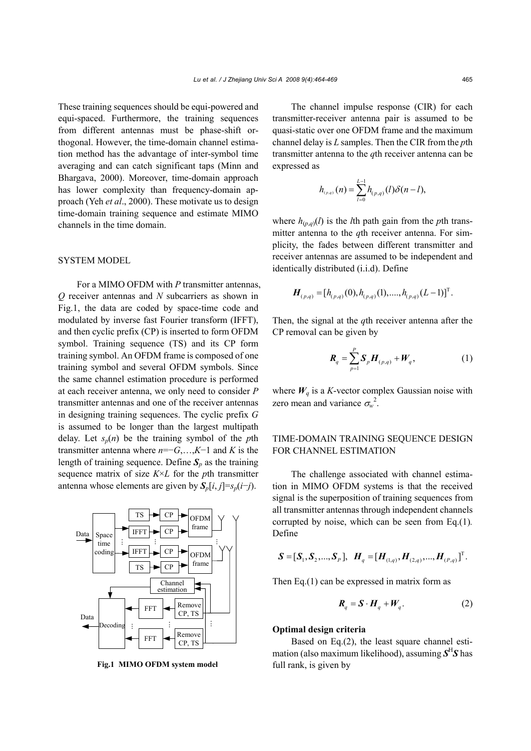These training sequences should be equi-powered and equi-spaced. Furthermore, the training sequences from different antennas must be phase-shift orthogonal. However, the time-domain channel estimation method has the advantage of inter-symbol time averaging and can catch significant taps (Minn and Bhargava, 2000). Moreover, time-domain approach has lower complexity than frequency-domain approach (Yeh *et al*., 2000). These motivate us to design time-domain training sequence and estimate MIMO channels in the time domain.

## SYSTEM MODEL

For a MIMO OFDM with *P* transmitter antennas, *Q* receiver antennas and *N* subcarriers as shown in Fig.1, the data are coded by space-time code and modulated by inverse fast Fourier transform (IFFT), and then cyclic prefix (CP) is inserted to form OFDM symbol. Training sequence (TS) and its CP form training symbol. An OFDM frame is composed of one training symbol and several OFDM symbols. Since the same channel estimation procedure is performed at each receiver antenna, we only need to consider *P* transmitter antennas and one of the receiver antennas in designing training sequences. The cyclic prefix *G* is assumed to be longer than the largest multipath delay. Let  $s_n(n)$  be the training symbol of the *p*th transmitter antenna where *n*=−*G*,…,*K*−1 and *K* is the length of training sequence. Define  $S_p$  as the training sequence matrix of size *K*×*L* for the *p*th transmitter antenna whose elements are given by  $S_p[i, j] = s_p(i-j)$ .



**Fig.1 MIMO OFDM system model** full rank, is given by

The channel impulse response (CIR) for each transmitter-receiver antenna pair is assumed to be quasi-static over one OFDM frame and the maximum channel delay is *L* samples. Then the CIR from the *p*th transmitter antenna to the *q*th receiver antenna can be expressed as

$$
h_{_{(p,q)}}(n) = \sum_{l=0}^{L-1} h_{_{(p,q)}}(l) \delta(n-l),
$$

where  $h_{(p,q)}(l)$  is the *l*th path gain from the *p*th transmitter antenna to the *q*th receiver antenna. For simplicity, the fades between different transmitter and receiver antennas are assumed to be independent and identically distributed (i.i.d). Define

$$
\boldsymbol{H}_{(p,q)} = [h_{(p,q)}(0), h_{(p,q)}(1), \dots, h_{(p,q)}(L-1)]^{\mathrm{T}}.
$$

Then, the signal at the *q*th receiver antenna after the CP removal can be given by

$$
\boldsymbol{R}_q = \sum_{p=1}^P \boldsymbol{S}_p \boldsymbol{H}_{(p,q)} + \boldsymbol{W}_q, \tag{1}
$$

where  $W_q$  is a *K*-vector complex Gaussian noise with zero mean and variance  $\sigma_w^2$ .

# TIME-DOMAIN TRAINING SEQUENCE DESIGN FOR CHANNEL ESTIMATION

The challenge associated with channel estimation in MIMO OFDM systems is that the received signal is the superposition of training sequences from all transmitter antennas through independent channels corrupted by noise, which can be seen from Eq.(1)*.* Define

$$
\mathbf{S} = [\mathbf{S}_{1}, \mathbf{S}_{2}, ..., \mathbf{S}_{P}], \ \ \mathbf{H}_{q} = [\mathbf{H}_{(1,q)}, \mathbf{H}_{(2,q)}, ..., \mathbf{H}_{(P,q)}]^{\mathrm{T}}.
$$

Then  $Eq.(1)$  can be expressed in matrix form as

$$
\boldsymbol{R}_q = \boldsymbol{S} \cdot \boldsymbol{H}_q + \boldsymbol{W}_q. \tag{2}
$$

## **Optimal design criteria**

Based on Eq.(2), the least square channel estimation (also maximum likelihood), assuming  $S<sup>H</sup>S$  has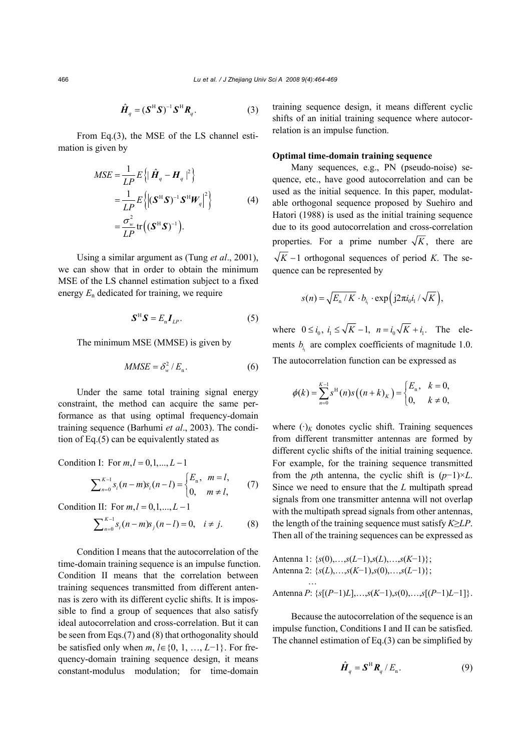$$
\hat{\boldsymbol{H}}_q = (\boldsymbol{S}^{\mathrm{H}} \boldsymbol{S})^{-1} \boldsymbol{S}^{\mathrm{H}} \boldsymbol{R}_q.
$$
 (3)

From Eq.(3), the MSE of the LS channel estimation is given by

$$
MSE = \frac{1}{LP} E\left\{ \left| \hat{\boldsymbol{H}}_q - \boldsymbol{H}_q \right|^2 \right\}
$$
  
= 
$$
\frac{1}{LP} E\left\{ \left| (\boldsymbol{S}^{\mathrm{H}} \boldsymbol{S})^{-1} \boldsymbol{S}^{\mathrm{H}} \boldsymbol{W}_q \right|^2 \right\}
$$
  
= 
$$
\frac{\sigma_w^2}{LP} tr\left( (\boldsymbol{S}^{\mathrm{H}} \boldsymbol{S})^{-1} \right).
$$
 (4)

Using a similar argument as (Tung *et al*., 2001), we can show that in order to obtain the minimum MSE of the LS channel estimation subject to a fixed energy *E*n dedicated for training, we require

$$
\mathbf{S}^{\mathrm{H}}\mathbf{S}=E_{\mathrm{n}}\mathbf{I}_{\mathrm{LP}}.\tag{5}
$$

The minimum MSE (MMSE) is given by

$$
MMSE = \delta_w^2 / E_n. \tag{6}
$$

Under the same total training signal energy constraint, the method can acquire the same performance as that using optimal frequency-domain training sequence (Barhumi *et al*., 2003). The condition of Eq.(5) can be equivalently stated as

Condition I: For  $m, l = 0, 1, ..., L - 1$ 

$$
\sum_{n=0}^{K-1} s_i (n-m) s_i (n-l) = \begin{cases} E_n, & m=l, \\ 0, & m \neq l, \end{cases}
$$
 (7)

Condition II: For  $m, l = 0, 1, \ldots, L - 1$ 

$$
\sum_{n=0}^{K-1} s_i (n-m) s_j (n-l) = 0, \quad i \neq j. \tag{8}
$$

Condition I means that the autocorrelation of the time-domain training sequence is an impulse function. Condition II means that the correlation between training sequences transmitted from different antennas is zero with its different cyclic shifts. It is impossible to find a group of sequences that also satisfy ideal autocorrelation and cross-correlation. But it can be seen from Eqs.(7) and (8) that orthogonality should be satisfied only when *m*, *l*∈{0, 1, …, *L*−1}. For frequency-domain training sequence design, it means constant-modulus modulation; for time-domain

training sequence design, it means different cyclic shifts of an initial training sequence where autocorrelation is an impulse function.

## **Optimal time-domain training sequence**

Many sequences, e.g., PN (pseudo-noise) sequence, etc., have good autocorrelation and can be used as the initial sequence. In this paper, modulatable orthogonal sequence proposed by Suehiro and Hatori (1988) is used as the initial training sequence due to its good autocorrelation and cross-correlation properties. For a prime number  $\sqrt{K}$ , there are  $\sqrt{K}$  −1 orthogonal sequences of period *K*. The sequence can be represented by

$$
s(n) = \sqrt{E_{n} / K} \cdot b_{i_{1}} \cdot \exp\left(j2\pi i_{0} i_{1} / \sqrt{K}\right),
$$

where  $0 \le i_0$ ,  $i_1 \le \sqrt{K} - 1$ ,  $n = i_0 \sqrt{K} + i_1$ . The elements  $b_{i}$  are complex coefficients of magnitude 1.0. The autocorrelation function can be expressed as

$$
\phi(k) = \sum_{n=0}^{K-1} s^{H}(n) s((n+k)_{K}) = \begin{cases} E_{n}, & k = 0, \\ 0, & k \neq 0, \end{cases}
$$

where  $(\cdot)_K$  donotes cyclic shift. Training sequences from different transmitter antennas are formed by different cyclic shifts of the initial training sequence. For example, for the training sequence transmitted from the *p*th antenna, the cyclic shift is  $(p-1) \times L$ . Since we need to ensure that the *L* multipath spread signals from one transmitter antenna will not overlap with the multipath spread signals from other antennas, the length of the training sequence must satisfy *K*≥*LP*. Then all of the training sequences can be expressed as

Antenna 1: 
$$
{s(0), \ldots, s(L-1), s(L), \ldots, s(K-1)};
$$

\nAntenna 2:  ${s(L), \ldots, s(K-1), s(0), \ldots, s(L-1)};$ 

\n...

\nAntenna *P*:  ${s[(P-1)L], \ldots, s(K-1), s(0), \ldots, s[(P-1)L-1]}.$ 

Because the autocorrelation of the sequence is an impulse function, Conditions I and II can be satisfied. The channel estimation of Eq.(3) can be simplified by

$$
\hat{\boldsymbol{H}}_q = \boldsymbol{S}^{\mathrm{H}} \boldsymbol{R}_q / E_n. \tag{9}
$$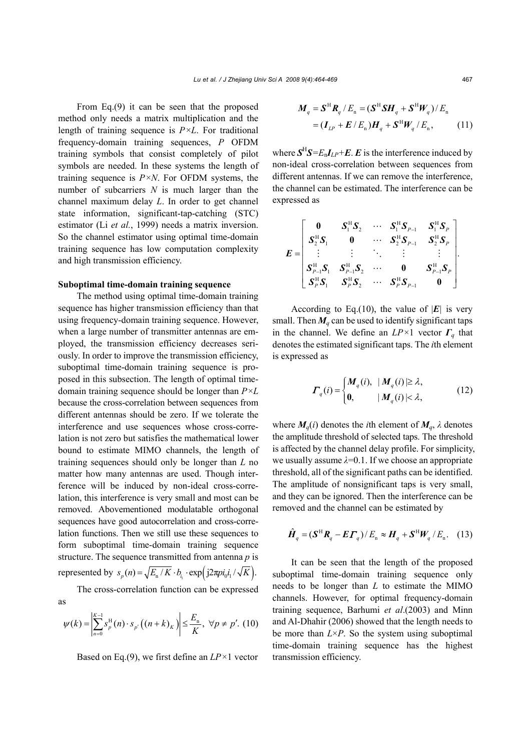From Eq.(9) it can be seen that the proposed method only needs a matrix multiplication and the length of training sequence is *P×L*. For traditional frequency-domain training sequences, *P* OFDM training symbols that consist completely of pilot symbols are needed. In these systems the length of training sequence is *P×N*. For OFDM systems, the number of subcarriers *N* is much larger than the channel maximum delay *L*. In order to get channel state information, significant-tap-catching (STC) estimator (Li *et al.*, 1999) needs a matrix inversion. So the channel estimator using optimal time-domain training sequence has low computation complexity and high transmission efficiency.

#### **Suboptimal time-domain training sequence**

The method using optimal time-domain training sequence has higher transmission efficiency than that using frequency-domain training sequence. However, when a large number of transmitter antennas are employed, the transmission efficiency decreases seriously. In order to improve the transmission efficiency, suboptimal time-domain training sequence is proposed in this subsection. The length of optimal timedomain training sequence should be longer than *P×L* because the cross-correlation between sequences from different antennas should be zero. If we tolerate the interference and use sequences whose cross-correlation is not zero but satisfies the mathematical lower bound to estimate MIMO channels, the length of training sequences should only be longer than *L* no matter how many antennas are used. Though interference will be induced by non-ideal cross-correlation, this interference is very small and most can be removed. Abovementioned modulatable orthogonal sequences have good autocorrelation and cross-correlation functions. Then we still use these sequences to form suboptimal time-domain training sequence structure. The sequence transmitted from antenna *p* is represented by  $s_n(n) = \sqrt{E_n/K} \cdot b_i \cdot \exp(i2\pi p i_0 i_1 / \sqrt{K}).$ 

The cross-correlation function can be expressed as

$$
\psi(k) = \left| \sum_{n=0}^{K-1} s_p^{\mathrm{H}}(n) \cdot s_{p'} \left( (n+k)_K \right) \right| \le \frac{E_n}{K}, \ \forall p \ne p'. \ (10)
$$

Based on Eq.(9), we first define an *LP×*1 vector

$$
M_q = \mathbf{S}^{\mathrm{H}} \mathbf{R}_q / E_n = (\mathbf{S}^{\mathrm{H}} \mathbf{S} \mathbf{H}_q + \mathbf{S}^{\mathrm{H}} \mathbf{W}_q) / E_n
$$
  
=  $(\mathbf{I}_{LP} + \mathbf{E} / E_n) \mathbf{H}_q + \mathbf{S}^{\mathrm{H}} \mathbf{W}_q / E_n,$  (11)

where  $S^{H}S = E_{n}I_{IP} + E$ . *E* is the interference induced by non-ideal cross-correlation between sequences from different antennas. If we can remove the interference, the channel can be estimated. The interference can be expressed as

$$
E = \begin{bmatrix} 0 & S_1^{\rm H} S_2 & \cdots & S_1^{\rm H} S_{P-1} & S_1^{\rm H} S_p \\ S_2^{\rm H} S_1 & 0 & \cdots & S_2^{\rm H} S_{P-1} & S_2^{\rm H} S_p \\ \vdots & \vdots & \ddots & \vdots & \vdots \\ S_{P-1}^{\rm H} S_1 & S_{P-1}^{\rm H} S_2 & \cdots & 0 & S_{P-1}^{\rm H} S_p \\ S_P^{\rm H} S_1 & S_P^{\rm H} S_2 & \cdots & S_P^{\rm H} S_{P-1} & 0 \end{bmatrix}.
$$

According to Eq.(10), the value of  $|E|$  is very small. Then  $M_q$  can be used to identify significant taps in the channel. We define an  $LP \times 1$  vector  $\Gamma_q$  that denotes the estimated significant taps. The *i*th element is expressed as

$$
\boldsymbol{\varGamma}_{q}(i) = \begin{cases} \boldsymbol{M}_{q}(i), & | \boldsymbol{M}_{q}(i) \geq \lambda, \\ \boldsymbol{0}, & | \boldsymbol{M}_{q}(i) \leq \lambda, \end{cases} \tag{12}
$$

where  $M_q(i)$  denotes the *i*th element of  $M_q$ ,  $\lambda$  denotes the amplitude threshold of selected taps. The threshold is affected by the channel delay profile. For simplicity, we usually assume *λ*=0.1. If we choose an appropriate threshold, all of the significant paths can be identified. The amplitude of nonsignificant taps is very small, and they can be ignored. Then the interference can be removed and the channel can be estimated by

$$
\hat{\boldsymbol{H}}_q = (\boldsymbol{S}^{\mathrm{H}} \boldsymbol{R}_q - \boldsymbol{E} \boldsymbol{\varGamma}_q) / E_n \approx \boldsymbol{H}_q + \boldsymbol{S}^{\mathrm{H}} \boldsymbol{W}_q / E_n. \quad (13)
$$

It can be seen that the length of the proposed suboptimal time-domain training sequence only needs to be longer than *L* to estimate the MIMO channels. However, for optimal frequency-domain training sequence, Barhumi *et al*.(2003) and Minn and Al-Dhahir (2006) showed that the length needs to be more than  $L \times P$ . So the system using suboptimal time-domain training sequence has the highest transmission efficiency.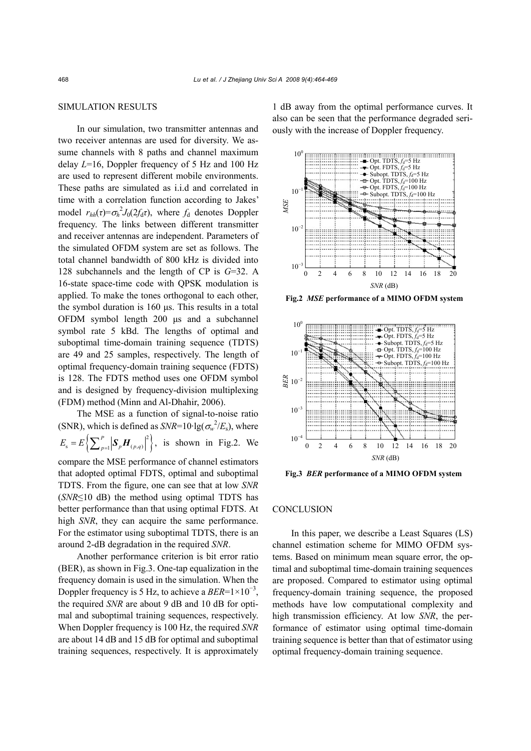## SIMULATION RESULTS

In our simulation, two transmitter antennas and two receiver antennas are used for diversity. We assume channels with 8 paths and channel maximum delay *L*=16, Doppler frequency of 5 Hz and 100 Hz are used to represent different mobile environments. These paths are simulated as i.i.d and correlated in time with a correlation function according to Jakes' model  $r_{hh}(\tau) = \sigma_h^2 J_0(2f_d\tau)$ , where  $f_d$  denotes Doppler frequency. The links between different transmitter and receiver antennas are independent. Parameters of the simulated OFDM system are set as follows. The total channel bandwidth of 800 kHz is divided into 128 subchannels and the length of CP is *G*=32. A 16-state space-time code with QPSK modulation is applied. To make the tones orthogonal to each other, the symbol duration is 160 μs. This results in a total OFDM symbol length 200 μs and a subchannel symbol rate 5 kBd. The lengths of optimal and suboptimal time-domain training sequence (TDTS) are 49 and 25 samples, respectively. The length of optimal frequency-domain training sequence (FDTS) is 128. The FDTS method uses one OFDM symbol and is designed by frequency-division multiplexing (FDM) method (Minn and Al-Dhahir, 2006).

The MSE as a function of signal-to-noise ratio (SNR), which is defined as  $SNR=10 \cdot \lg(\sigma_w^2/E_s)$ , where  $E_s = E\left\{\sum_{p=1}^P \left|\mathbf{S}_p \mathbf{H}_{(p,q)}\right|^2\right\}, \text{ is shown in Fig.2. We}$ compare the MSE performance of channel estimators that adopted optimal FDTS, optimal and suboptimal TDTS. From the figure, one can see that at low *SNR* (*SNR*≤10 dB) the method using optimal TDTS has better performance than that using optimal FDTS. At high *SNR*, they can acquire the same performance. For the estimator using suboptimal TDTS, there is an around 2-dB degradation in the required *SNR*.

Another performance criterion is bit error ratio (BER), as shown in Fig.3. One-tap equalization in the frequency domain is used in the simulation. When the Doppler frequency is 5 Hz, to achieve a  $BER=1\times10^{-3}$ , the required *SNR* are about 9 dB and 10 dB for optimal and suboptimal training sequences, respectively. When Doppler frequency is 100 Hz, the required *SNR* are about 14 dB and 15 dB for optimal and suboptimal training sequences, respectively. It is approximately

1 dB away from the optimal performance curves. It also can be seen that the performance degraded seriously with the increase of Doppler frequency.



**Fig.2** *MSE* **performance of a MIMO OFDM system**



**Fig.3** *BER* **performance of a MIMO OFDM system**

## **CONCLUSION**

In this paper, we describe a Least Squares (LS) channel estimation scheme for MIMO OFDM systems. Based on minimum mean square error, the optimal and suboptimal time-domain training sequences are proposed. Compared to estimator using optimal frequency-domain training sequence, the proposed methods have low computational complexity and high transmission efficiency. At low *SNR*, the performance of estimator using optimal time-domain training sequence is better than that of estimator using optimal frequency-domain training sequence.